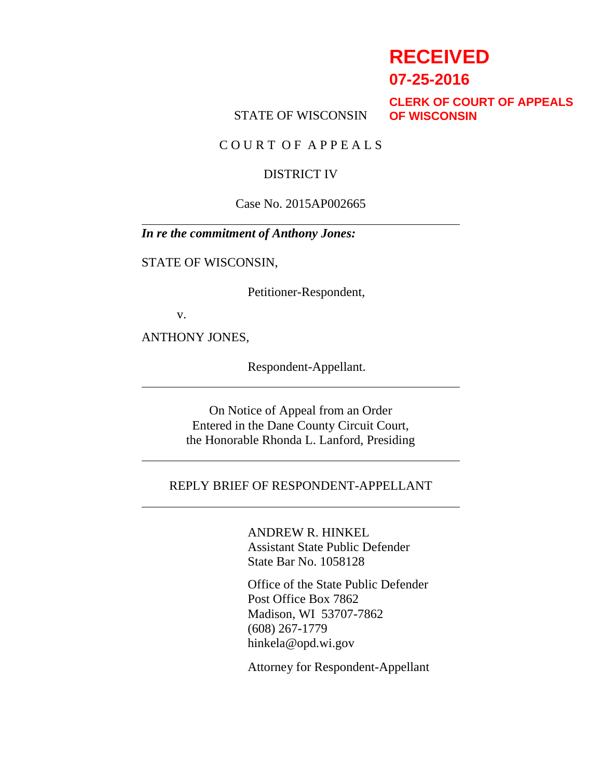# **RECEIVED**

**07-25-2016**

STATE OF WISCONSIN

**CLERK OF COURT OF APPEALS OF WISCONSIN**

C O U R T O F A P P E A L S

#### DISTRICT IV

#### Case No. 2015AP002665

*In re the commitment of Anthony Jones:*

STATE OF WISCONSIN,

Petitioner-Respondent,

v.

ANTHONY JONES,

Respondent-Appellant.

On Notice of Appeal from an Order Entered in the Dane County Circuit Court, the Honorable Rhonda L. Lanford, Presiding

#### REPLY BRIEF OF RESPONDENT-APPELLANT

ANDREW R. HINKEL Assistant State Public Defender State Bar No. 1058128

Office of the State Public Defender Post Office Box 7862 Madison, WI 53707-7862 (608) 267-1779 hinkela@opd.wi.gov

Attorney for Respondent-Appellant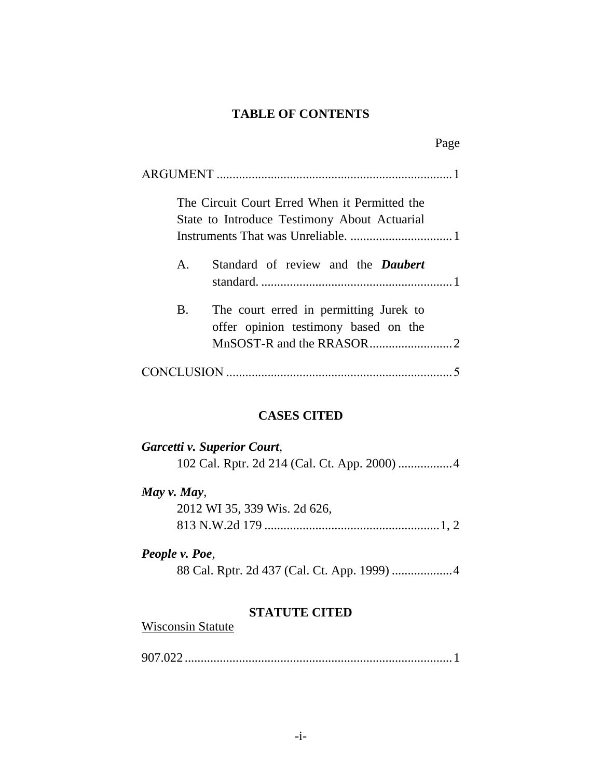### **TABLE OF CONTENTS**

|              | Page                                                                                          |
|--------------|-----------------------------------------------------------------------------------------------|
|              |                                                                                               |
|              | The Circuit Court Erred When it Permitted the<br>State to Introduce Testimony About Actuarial |
|              |                                                                                               |
| $\mathbf{A}$ | Standard of review and the <b>Daubert</b>                                                     |
| B.           | The court erred in permitting Jurek to<br>offer opinion testimony based on the                |
|              |                                                                                               |

### **CASES CITED**

| Garcetti v. Superior Court,  |
|------------------------------|
|                              |
|                              |
| May $\nu$ . May,             |
| 2012 WI 35, 339 Wis. 2d 626, |
|                              |
|                              |

# *People v. Poe*,

88 Cal. Rptr. 2d 437 (Cal. Ct. App. 1999) ...................4

### **STATUTE CITED**

| <b>Wisconsin Statute</b> |  |
|--------------------------|--|
|--------------------------|--|

907.022 ....................................................................................1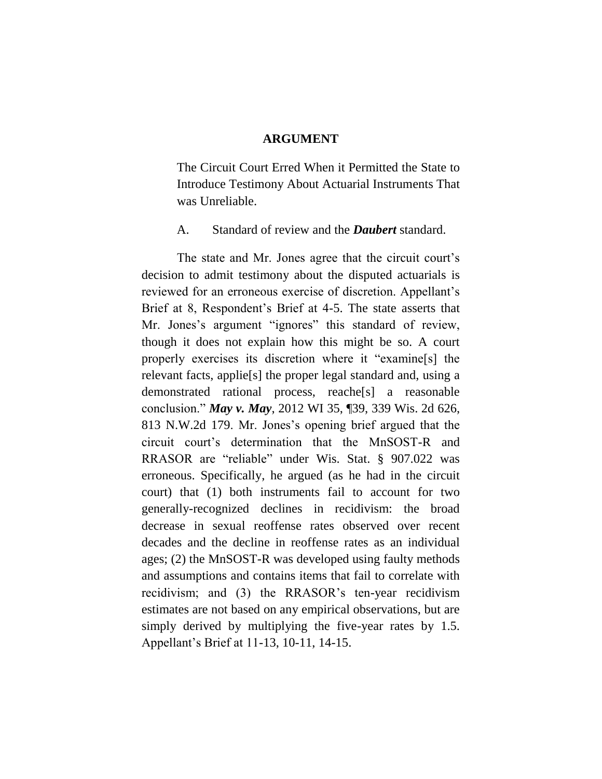#### **ARGUMENT**

The Circuit Court Erred When it Permitted the State to Introduce Testimony About Actuarial Instruments That was Unreliable.

A. Standard of review and the *Daubert* standard.

The state and Mr. Jones agree that the circuit court's decision to admit testimony about the disputed actuarials is reviewed for an erroneous exercise of discretion. Appellant's Brief at 8, Respondent's Brief at 4-5. The state asserts that Mr. Jones's argument "ignores" this standard of review, though it does not explain how this might be so. A court properly exercises its discretion where it "examine[s] the relevant facts, applie[s] the proper legal standard and, using a demonstrated rational process, reache[s] a reasonable conclusion." *May v. May*, 2012 WI 35, ¶39, 339 Wis. 2d 626, 813 N.W.2d 179. Mr. Jones"s opening brief argued that the circuit court"s determination that the MnSOST-R and RRASOR are "reliable" under Wis. Stat. § 907.022 was erroneous. Specifically, he argued (as he had in the circuit court) that (1) both instruments fail to account for two generally-recognized declines in recidivism: the broad decrease in sexual reoffense rates observed over recent decades and the decline in reoffense rates as an individual ages; (2) the MnSOST-R was developed using faulty methods and assumptions and contains items that fail to correlate with recidivism; and (3) the RRASOR"s ten-year recidivism estimates are not based on any empirical observations, but are simply derived by multiplying the five-year rates by 1.5. Appellant"s Brief at 11-13, 10-11, 14-15.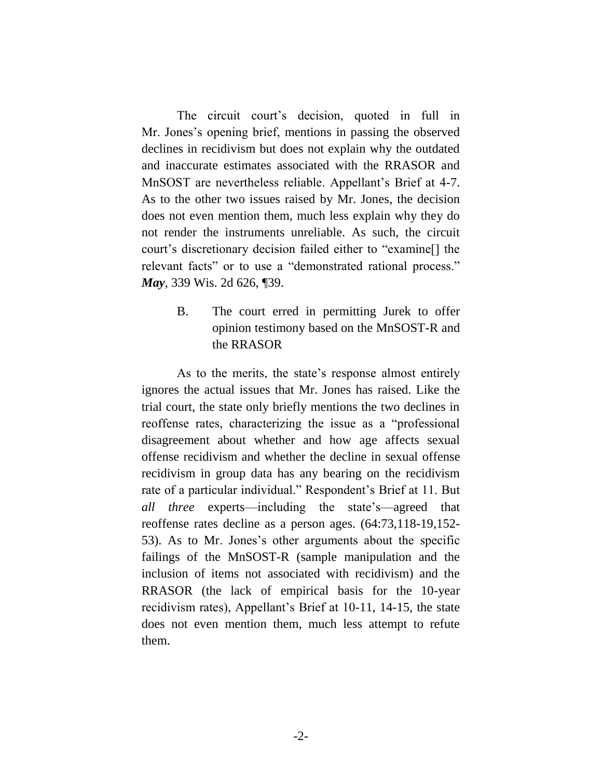The circuit court's decision, quoted in full in Mr. Jones"s opening brief, mentions in passing the observed declines in recidivism but does not explain why the outdated and inaccurate estimates associated with the RRASOR and MnSOST are nevertheless reliable. Appellant's Brief at 4-7. As to the other two issues raised by Mr. Jones, the decision does not even mention them, much less explain why they do not render the instruments unreliable. As such, the circuit court's discretionary decision failed either to "examine[] the relevant facts" or to use a "demonstrated rational process." *May*, 339 Wis. 2d 626, ¶39.

> B. The court erred in permitting Jurek to offer opinion testimony based on the MnSOST-R and the RRASOR

As to the merits, the state's response almost entirely ignores the actual issues that Mr. Jones has raised. Like the trial court, the state only briefly mentions the two declines in reoffense rates, characterizing the issue as a "professional disagreement about whether and how age affects sexual offense recidivism and whether the decline in sexual offense recidivism in group data has any bearing on the recidivism rate of a particular individual." Respondent's Brief at 11. But *all three* experts—including the state"s—agreed that reoffense rates decline as a person ages. (64:73,118-19,152- 53). As to Mr. Jones"s other arguments about the specific failings of the MnSOST-R (sample manipulation and the inclusion of items not associated with recidivism) and the RRASOR (the lack of empirical basis for the 10-year recidivism rates), Appellant"s Brief at 10-11, 14-15, the state does not even mention them, much less attempt to refute them.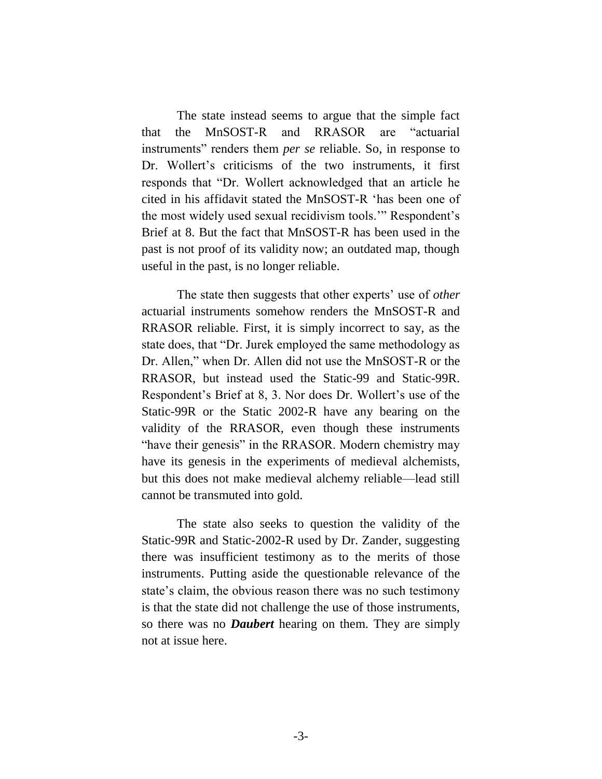The state instead seems to argue that the simple fact that the MnSOST-R and RRASOR are "actuarial instruments" renders them *per se* reliable. So, in response to Dr. Wollert's criticisms of the two instruments, it first responds that "Dr. Wollert acknowledged that an article he cited in his affidavit stated the MnSOST-R "has been one of the most widely used sexual recidivism tools." Respondent's Brief at 8. But the fact that MnSOST-R has been used in the past is not proof of its validity now; an outdated map, though useful in the past, is no longer reliable.

The state then suggests that other experts' use of *other* actuarial instruments somehow renders the MnSOST-R and RRASOR reliable. First, it is simply incorrect to say, as the state does, that "Dr. Jurek employed the same methodology as Dr. Allen," when Dr. Allen did not use the MnSOST-R or the RRASOR, but instead used the Static-99 and Static-99R. Respondent's Brief at 8, 3. Nor does Dr. Wollert's use of the Static-99R or the Static 2002-R have any bearing on the validity of the RRASOR, even though these instruments "have their genesis" in the RRASOR. Modern chemistry may have its genesis in the experiments of medieval alchemists, but this does not make medieval alchemy reliable—lead still cannot be transmuted into gold.

The state also seeks to question the validity of the Static-99R and Static-2002-R used by Dr. Zander, suggesting there was insufficient testimony as to the merits of those instruments. Putting aside the questionable relevance of the state's claim, the obvious reason there was no such testimony is that the state did not challenge the use of those instruments, so there was no *Daubert* hearing on them. They are simply not at issue here.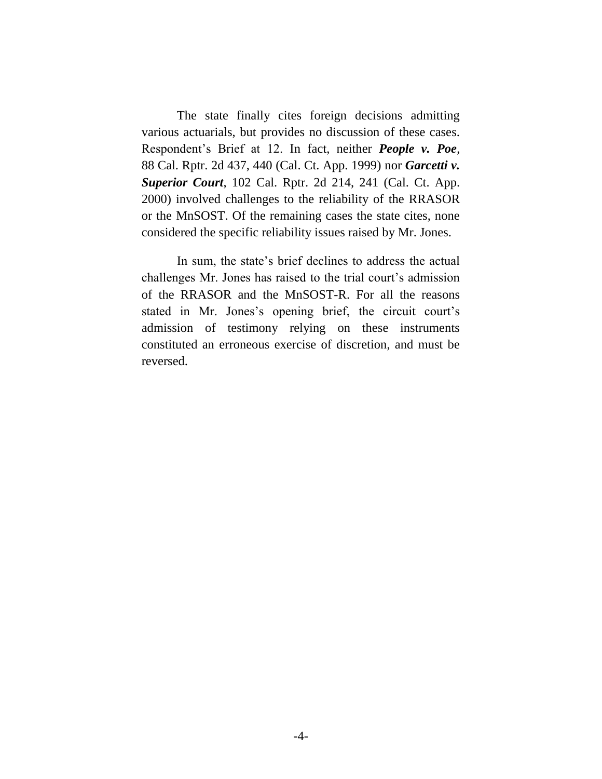The state finally cites foreign decisions admitting various actuarials, but provides no discussion of these cases. Respondent"s Brief at 12. In fact, neither *People v. Poe*, 88 Cal. Rptr. 2d 437, 440 (Cal. Ct. App. 1999) nor *Garcetti v. Superior Court*, 102 Cal. Rptr. 2d 214, 241 (Cal. Ct. App. 2000) involved challenges to the reliability of the RRASOR or the MnSOST. Of the remaining cases the state cites, none considered the specific reliability issues raised by Mr. Jones.

In sum, the state's brief declines to address the actual challenges Mr. Jones has raised to the trial court"s admission of the RRASOR and the MnSOST-R. For all the reasons stated in Mr. Jones's opening brief, the circuit court's admission of testimony relying on these instruments constituted an erroneous exercise of discretion, and must be reversed.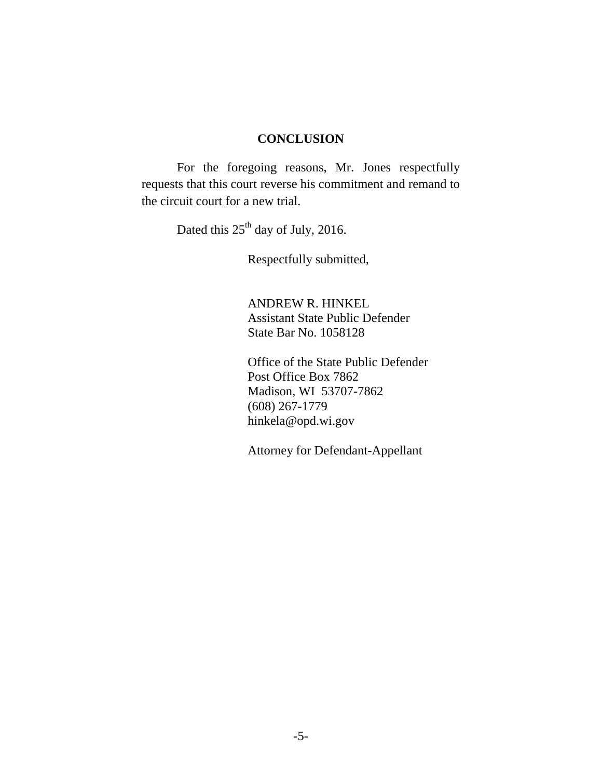#### **CONCLUSION**

<span id="page-6-0"></span>For the foregoing reasons, Mr. Jones respectfully requests that this court reverse his commitment and remand to the circuit court for a new trial.

Dated this  $25<sup>th</sup>$  day of July, 2016.

Respectfully submitted,

ANDREW R. HINKEL Assistant State Public Defender State Bar No. 1058128

Office of the State Public Defender Post Office Box 7862 Madison, WI 53707-7862 (608) 267-1779 hinkela@opd.wi.gov

Attorney for Defendant-Appellant